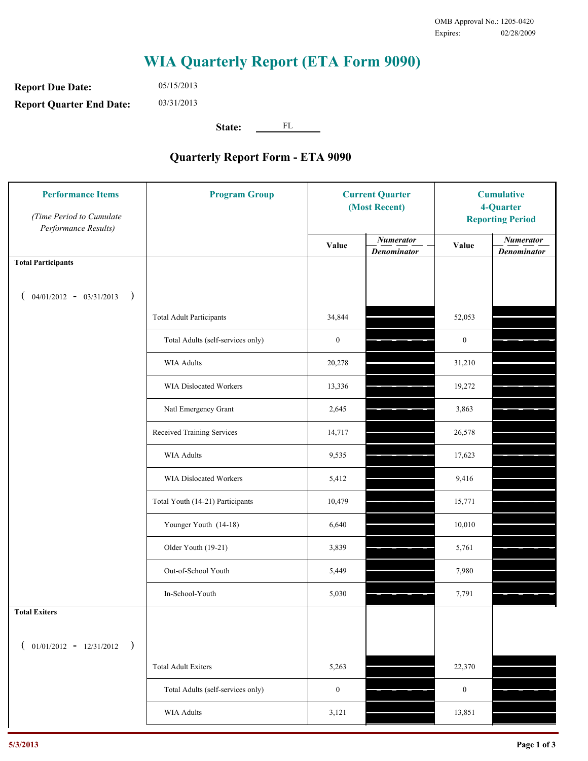## **WIA Quarterly Report (ETA Form 9090)**

**Report Due Date: Report Quarter End Date:** 05/15/2013 03/31/2013

**State:** FL

## **Quarterly Report Form - ETA 9090**

| <b>Performance Items</b><br>(Time Period to Cumulate<br>Performance Results) | <b>Program Group</b>              | <b>Current Quarter</b><br>(Most Recent) |                                        | <b>Cumulative</b><br>4-Quarter<br><b>Reporting Period</b> |                                        |
|------------------------------------------------------------------------------|-----------------------------------|-----------------------------------------|----------------------------------------|-----------------------------------------------------------|----------------------------------------|
|                                                                              |                                   | Value                                   | <b>Numerator</b><br><b>Denominator</b> | Value                                                     | <b>Numerator</b><br><b>Denominator</b> |
| <b>Total Participants</b>                                                    |                                   |                                         |                                        |                                                           |                                        |
| $04/01/2012 - 03/31/2013$ )                                                  |                                   |                                         |                                        |                                                           |                                        |
|                                                                              | <b>Total Adult Participants</b>   | 34,844                                  |                                        | 52,053                                                    |                                        |
|                                                                              | Total Adults (self-services only) | $\boldsymbol{0}$                        |                                        | $\boldsymbol{0}$                                          |                                        |
|                                                                              | <b>WIA Adults</b>                 | 20,278                                  |                                        | 31,210                                                    |                                        |
|                                                                              | WIA Dislocated Workers            | 13,336                                  |                                        | 19,272                                                    |                                        |
|                                                                              | Natl Emergency Grant              | 2,645                                   |                                        | 3,863                                                     |                                        |
|                                                                              | Received Training Services        | 14,717                                  |                                        | 26,578                                                    |                                        |
|                                                                              | <b>WIA Adults</b>                 | 9,535                                   |                                        | 17,623                                                    |                                        |
|                                                                              | WIA Dislocated Workers            | 5,412                                   |                                        | 9,416                                                     |                                        |
|                                                                              | Total Youth (14-21) Participants  | 10,479                                  |                                        | 15,771                                                    |                                        |
|                                                                              | Younger Youth (14-18)             | 6,640                                   |                                        | 10,010                                                    |                                        |
|                                                                              | Older Youth (19-21)               | 3,839                                   |                                        | 5,761                                                     |                                        |
|                                                                              | Out-of-School Youth               | 5,449                                   |                                        | 7,980                                                     |                                        |
|                                                                              | In-School-Youth                   | 5,030                                   |                                        | 7,791                                                     |                                        |
| <b>Total Exiters</b>                                                         |                                   |                                         |                                        |                                                           |                                        |
| $01/01/2012 - 12/31/2012$ )                                                  |                                   |                                         |                                        |                                                           |                                        |
|                                                                              | <b>Total Adult Exiters</b>        | 5,263                                   |                                        | 22,370                                                    |                                        |
|                                                                              | Total Adults (self-services only) | $\boldsymbol{0}$                        |                                        | $\boldsymbol{0}$                                          |                                        |
|                                                                              | <b>WIA Adults</b>                 | 3,121                                   |                                        | 13,851                                                    |                                        |
|                                                                              |                                   |                                         |                                        |                                                           |                                        |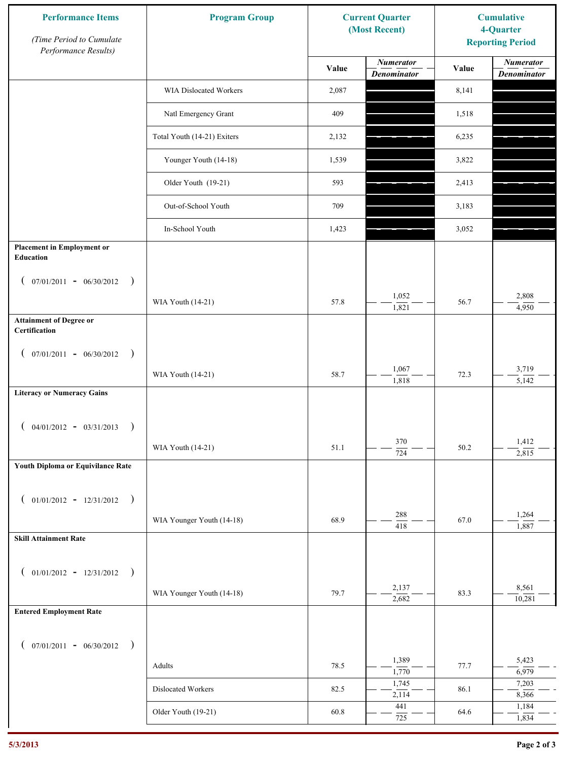| <b>Performance Items</b><br>(Time Period to Cumulate<br>Performance Results) | <b>Program Group</b>          | <b>Current Quarter</b><br>(Most Recent) |                                        | <b>Cumulative</b><br>4-Quarter<br><b>Reporting Period</b> |                                        |
|------------------------------------------------------------------------------|-------------------------------|-----------------------------------------|----------------------------------------|-----------------------------------------------------------|----------------------------------------|
|                                                                              |                               | Value                                   | <b>Numerator</b><br><b>Denominator</b> | Value                                                     | <b>Numerator</b><br><b>Denominator</b> |
|                                                                              | <b>WIA Dislocated Workers</b> | 2,087                                   |                                        | 8,141                                                     |                                        |
|                                                                              | Natl Emergency Grant          | 409                                     |                                        | 1,518                                                     |                                        |
|                                                                              | Total Youth (14-21) Exiters   | 2,132                                   |                                        | 6,235                                                     |                                        |
|                                                                              | Younger Youth (14-18)         | 1,539                                   |                                        | 3,822                                                     |                                        |
|                                                                              | Older Youth (19-21)           | 593                                     |                                        | 2,413                                                     |                                        |
|                                                                              | Out-of-School Youth           | 709                                     |                                        | 3,183                                                     |                                        |
|                                                                              | In-School Youth               | 1,423                                   |                                        | 3,052                                                     |                                        |
| <b>Placement in Employment or</b><br>Education                               |                               |                                         |                                        |                                                           |                                        |
| $07/01/2011 - 06/30/2012$<br>$\rightarrow$<br>$\overline{ }$                 |                               |                                         |                                        |                                                           |                                        |
|                                                                              | WIA Youth (14-21)             | 57.8                                    | 1,052<br>1,821                         | 56.7                                                      | 2,808<br>4,950                         |
| <b>Attainment of Degree or</b><br>Certification                              |                               |                                         |                                        |                                                           |                                        |
| $($ 07/01/2011 - 06/30/2012<br>$\rightarrow$                                 |                               |                                         |                                        |                                                           |                                        |
|                                                                              | WIA Youth (14-21)             | 58.7                                    | 1,067<br>1,818                         | 72.3                                                      | 3,719<br>5,142                         |
| <b>Literacy or Numeracy Gains</b>                                            |                               |                                         |                                        |                                                           |                                        |
| $04/01/2012 - 03/31/2013$<br>$\rightarrow$                                   |                               |                                         |                                        |                                                           |                                        |
|                                                                              | WIA Youth (14-21)             | 51.1                                    | 370<br>724                             | 50.2                                                      | 1,412<br>2,815                         |
| Youth Diploma or Equivilance Rate                                            |                               |                                         |                                        |                                                           |                                        |
| $01/01/2012 - 12/31/2012$ )                                                  |                               |                                         |                                        |                                                           |                                        |
|                                                                              | WIA Younger Youth (14-18)     | 68.9                                    | 288<br>$\overline{418}$                | 67.0                                                      | 1,264<br>1,887                         |
| <b>Skill Attainment Rate</b>                                                 |                               |                                         |                                        |                                                           |                                        |
|                                                                              |                               |                                         |                                        |                                                           |                                        |
| $01/01/2012 - 12/31/2012$ )<br>$\overline{ }$                                | WIA Younger Youth (14-18)     | 79.7                                    | 2,137                                  | 83.3                                                      | 8,561                                  |
| <b>Entered Employment Rate</b>                                               |                               |                                         | 2,682                                  |                                                           | 10,281                                 |
|                                                                              |                               |                                         |                                        |                                                           |                                        |
| $07/01/2011 - 06/30/2012$ )<br>$\overline{ }$                                |                               |                                         | 1,389                                  |                                                           | 5,423                                  |
|                                                                              | Adults                        | 78.5                                    | 1,770<br>1,745                         | 77.7                                                      | 6,979<br>7,203                         |
|                                                                              | Dislocated Workers            | 82.5                                    | 2,114                                  | 86.1                                                      | 8,366                                  |
|                                                                              | Older Youth (19-21)           | 60.8                                    | 441<br>725                             | 64.6                                                      | 1,184<br>1,834                         |